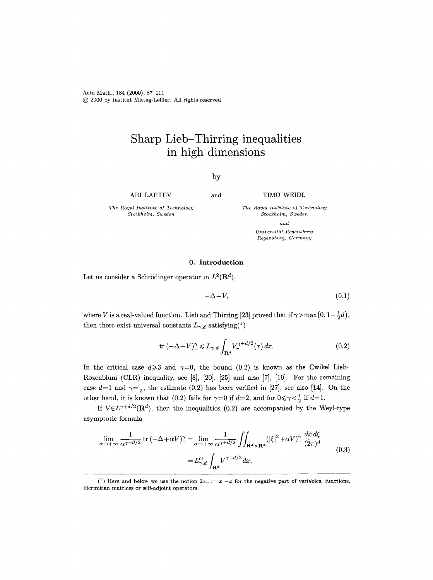Acta Math., 184 (2000), 87-111 (~) 2000 by Institut Mittag-Leffler. All rights reserved

# **Sharp Lieb-Thirring inequalities in high dimensions**

## by

ARI LAPTEV

and TIMO WEIDL

*The Royal Institute of Technology Stockholm, Sweden* 

*The Royal Institute of Technology Stockholm, Sweden and Universitiit Regensburg Regensburg, Germany* 

### **0.** Introduction

Let us consider a Schrödinger operator in  $L^2(\mathbf{R}^d)$ ,

$$
-\Delta + V, \tag{0.1}
$$

where V is a real-valued function. Lieb and Thirring [23] proved that if  $\gamma > \max(0, 1-\frac{1}{2}d)$ , then there exist universal constants  $L_{\gamma,d}$  satisfying<sup>(1</sup>)

$$
\operatorname{tr}\left(-\Delta + V\right)^{\gamma} \leqslant L_{\gamma,d} \int_{\mathbf{R}^d} V_{-}^{\gamma+d/2}(x) \, dx. \tag{0.2}
$$

In the critical case  $d \geq 3$  and  $\gamma=0$ , the bound (0.2) is known as the Cwikel-Lieb-Rozenblum (CLR) inequality, see [8], [20], [25] and also [7], [19]. For the remaining case  $d=1$  and  $\gamma=\frac{1}{2}$ , the estimate (0.2) has been verified in [27], see also [14]. On the other hand, it is known that (0.2) fails for  $\gamma=0$  if  $d=2$ , and for  $0\leq \gamma < \frac{1}{2}$  if  $d=1$ .

If  $V \in L^{\gamma+d/2}(\mathbf{R}^d)$ , then the inequalities (0.2) are accompanied by the Weyl-type asymptotic formula

$$
\lim_{\alpha \to +\infty} \frac{1}{\alpha^{\gamma + d/2}} \operatorname{tr} \left( -\Delta + \alpha V \right)^{\gamma} = \lim_{\alpha \to +\infty} \frac{1}{\alpha^{\gamma + d/2}} \iint_{\mathbf{R}^d \times \mathbf{R}^d} (|\xi|^2 + \alpha V)^{\gamma} \frac{dx \, d\xi}{(2\pi)^d}
$$
\n
$$
= L_{\gamma, d}^{\mathrm{cl}} \int_{\mathbf{R}^d} V_{-}^{\gamma + d/2} dx,\tag{0.3}
$$

<sup>(&</sup>lt;sup>1</sup>) Here and below we use the notion  $2x = |x| - x$  for the negative part of variables, functions, Hermitian matrices or self-adjoint operators.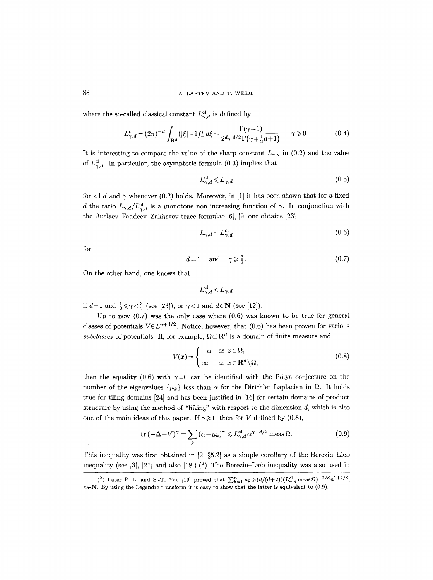#### 88 **A. LAPTEV AND T. WEIDL**

where the so-called classical constant  $L_{\gamma,d}^{cl}$  is defined by

$$
L_{\gamma,d}^{\rm cl} = (2\pi)^{-d} \int_{\mathbf{R}^d} (|\xi| - 1)^\gamma_- d\xi = \frac{\Gamma(\gamma + 1)}{2^d \pi^{d/2} \Gamma(\gamma + \frac{1}{2}d + 1)}, \quad \gamma \geq 0. \tag{0.4}
$$

It is interesting to compare the value of the sharp constant  $L_{\gamma,d}$  in (0.2) and the value of  $L_{\gamma,d}^{cl}$ . In particular, the asymptotic formula (0.3) implies that

$$
L_{\gamma,d}^{\text{cl}} \leqslant L_{\gamma,d} \tag{0.5}
$$

for all d and  $\gamma$  whenever (0.2) holds. Moreover, in [1] it has been shown that for a fixed d the ratio  $L_{\gamma,d}/L_{\gamma,d}^{cl}$  is a monotone non-increasing function of  $\gamma$ . In conjunction with the Buslaev-Faddeev-Zakharov trace formulae [6], [9] one obtains [23]

$$
L_{\gamma,d} = L_{\gamma,d}^{\text{cl}} \tag{0.6}
$$

for

$$
d=1 \quad \text{and} \quad \gamma \geqslant \frac{3}{2}.\tag{0.7}
$$

On the other hand, one knows that

$$
L_{\gamma,d}^\text{cl} < L_{\gamma,d}
$$

if  $d=1$  and  $\frac{1}{2} \leq \gamma < \frac{3}{2}$  (see [23]), or  $\gamma < 1$  and  $d \in \mathbb{N}$  (see [12]).

Up to now  $(0.7)$  was the only case where  $(0.6)$  was known to be true for general classes of potentials  $V \in L^{\gamma+d/2}$ . Notice, however, that (0.6) has been proven for various *subclasses* of potentials. If, for example,  $\Omega \subset \mathbf{R}^d$  is a domain of finite measure and

$$
V(x) = \begin{cases} -\alpha & \text{as } x \in \Omega, \\ \infty & \text{as } x \in \mathbf{R}^d \setminus \Omega, \end{cases}
$$
 (0.8)

then the equality (0.6) with  $\gamma=0$  can be identified with the Pólya conjecture on the number of the eigenvalues  $\{\mu_k\}$  less than  $\alpha$  for the Dirichlet Laplacian in  $\Omega$ . It holds true for tiling domains [24] and has been justified in [16] for certain domains of product structure by using the method of "lifting" with respect to the dimension  $d$ , which is also one of the main ideas of this paper. If  $\gamma \geq 1$ , then for V defined by (0.8),

$$
\operatorname{tr}\left(-\Delta + V\right)^{\gamma} = \sum_{k} \left(\alpha - \mu_{k}\right)^{\gamma} \leqslant L_{\gamma,d}^{\mathrm{cl}} \,\alpha^{\gamma + d/2} \,\mathrm{meas}\,\Omega. \tag{0.9}
$$

This inequality was first obtained in  $[2, §5.2]$  as a simple corollary of the Berezin-Lieb inequality (see [3], [21] and also [18]).<sup>(2</sup>) The Berezin–Lieb inequality was also used in

 $(2)$  Later P. Li and S.-T. Yau [19] proved that  $\sum_{k=1}^{n} \mu_k \geq (d/(d+2))(L_{\gamma,d}^{\text{cl}} \text{ meas } \Omega)^{-2/d} n^{1+2/d}$ ,  $n\in\mathbb{N}$ . By using the Legendre transform it is easy to show that the latter is equivalent to (0.9).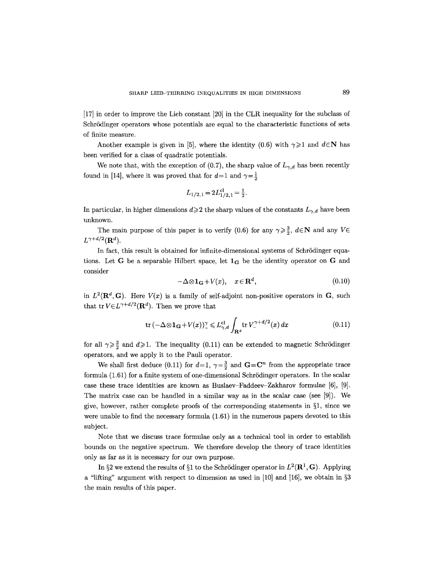[17] in order to improve the Lieb constant [20] in the CLR inequality for the subclass of Schrödinger operators whose potentials are equal to the characteristic functions of sets of finite measure.

Another example is given in [5], where the identity (0.6) with  $\gamma \geq 1$  and  $d \in \mathbb{N}$  has been verified for a class of quadratic potentials.

We note that, with the exception of  $(0.7)$ , the sharp value of  $L_{\gamma,d}$  has been recently found in [14], where it was proved that for  $d=1$  and  $\gamma=\frac{1}{2}$ 

$$
L_{1/2,1} = 2L_{1/2,1}^{\text{cl}} = \frac{1}{2}.
$$

In particular, in higher dimensions  $d\geqslant 2$  the sharp values of the constants  $L_{\gamma,d}$  have been unknown.

The main purpose of this paper is to verify (0.6) for any  $\gamma \geq \frac{3}{2}$ ,  $d \in \mathbb{N}$  and any  $V \in$  $L^{\gamma+d/2}(\mathbf{R}^d)$ .

In fact, this result is obtained for infinite-dimensional systems of Schrödinger equations. Let G be a separable Hilbert space, let  $1_G$  be the identity operator on G and consider

$$
-\Delta \otimes \mathbf{1}_{\mathbf{G}} + V(x), \quad x \in \mathbf{R}^d, \tag{0.10}
$$

in  $L^2(\mathbf{R}^d, \mathbf{G})$ . Here  $V(x)$  is a family of self-adjoint non-positive operators in  $\mathbf{G}$ , such that tr $V \in L^{\gamma+d/2}(\mathbf{R}^d)$ . Then we prove that

$$
\operatorname{tr}\left(-\Delta\otimes\mathbf{1}_{\mathbf{G}}+V(x)\right)^{\gamma}\leqslant L_{\gamma,d}^{\operatorname{cl}}\int_{\mathbf{R}^{d}}\operatorname{tr}V_{-}^{\gamma+d/2}(x)\,dx\tag{0.11}
$$

for all  $\gamma \geq \frac{3}{2}$  and  $d \geq 1$ . The inequality (0.11) can be extended to magnetic Schrödinger operators, and we apply it to the Pauli operator.

We shall first deduce (0.11) for  $d=1$ ,  $\gamma=\frac{3}{2}$  and  $\mathbf{G}=\mathbf{C}^n$  from the appropriate trace formula (1.61) for a finite system of one-dimensional Schrödinger operators. In the scalar case these trace identities are known as Buslaev-Faddeev-Zakharov formulae [6], [9]. The matrix case can be handled in a similar way as in the scalar case (see [9]). We give, however, rather complete proofs of the corresponding statements in  $\S1$ , since we were unable to find the necessary formula (1.61) in the numerous papers devoted to this subject.

Note that we discuss trace formulae only as a technical tool in order to establish bounds on the negative spectrum. We therefore develop the theory of trace identities only as far as it is necessary for our own purpose.

In §2 we extend the results of §1 to the Schrödinger operator in  $L^2(\mathbb{R}^1, \mathbb{G})$ . Applying a "lifting" argument with respect to dimension as used in [10] and [16], we obtain in  $\S$ 3 the main results of this paper.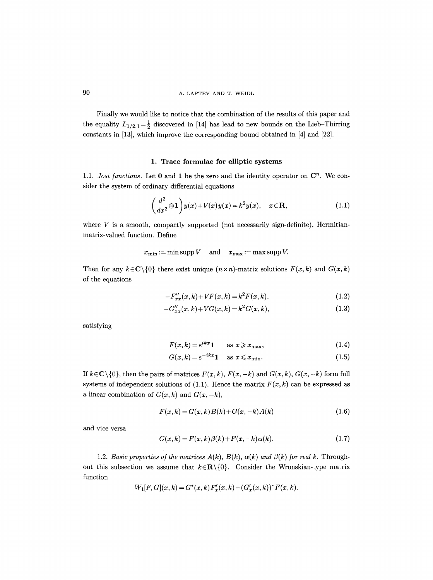Finally we would like to notice that the combination of the results of this paper and the equality  $L_{1/2,1}=\frac{1}{2}$  discovered in [14] has lead to new bounds on the Lieb-Thirring constants in [13], which improve the corresponding bound obtained in [4] and [22].

#### 1. Trace formulae for elliptic systems

1.1. *Jost functions*. Let  $\mathbf{0}$  and  $\mathbf{1}$  be the zero and the identity operator on  $\mathbf{C}^n$ . We consider the system of ordinary differential equations

$$
-\left(\frac{d^2}{dx^2}\otimes\mathbf{1}\right)y(x)+V(x)y(x)=k^2y(x),\quad x\in\mathbf{R},\tag{1.1}
$$

where  $V$  is a smooth, compactly supported (not necessarily sign-definite), Hermitianmatrix-valued function. Define

 $x_{\min} := \min \text{supp } V \quad \text{ and } \quad x_{\max} := \max \text{supp } V.$ 

Then for any  $k \in \mathbb{C} \setminus \{0\}$  there exist unique  $(n \times n)$ -matrix solutions  $F(x, k)$  and  $G(x, k)$ of the equations

$$
-F''_{xx}(x,k)+VF(x,k)=k^2F(x,k),
$$
\n(1.2)

$$
-G''_{xx}(x,k) + VG(x,k) = k^2 G(x,k),
$$
\n(1.3)

satisfying

$$
F(x,k) = e^{ikx}1 \qquad \text{as } x \geq x_{\text{max}},\tag{1.4}
$$

$$
G(x,k) = e^{-ikx} \mathbf{1} \quad \text{as } x \leq x_{\min}.\tag{1.5}
$$

If  $k \in \mathbb{C} \setminus \{0\}$ , then the pairs of matrices  $F(x, k)$ ,  $F(x, -k)$  and  $G(x, k)$ ,  $G(x, -k)$  form full systems of independent solutions of  $(1.1)$ . Hence the matrix  $F(x, k)$  can be expressed as a linear combination of  $G(x, k)$  and  $G(x, -k)$ ,

$$
F(x,k) = G(x,k)B(k) + G(x,-k)A(k)
$$
\n(1.6)

and vice versa

$$
G(x,k) = F(x,k)\beta(k) + F(x,-k)\alpha(k). \tag{1.7}
$$

1.2. Basic properties of the matrices  $A(k)$ ,  $B(k)$ ,  $\alpha(k)$  and  $\beta(k)$  for real k. Throughout this subsection we assume that  $k \in \mathbb{R} \setminus \{0\}$ . Consider the Wronskian-type matrix function

$$
W_1[F, G](x, k) = G^*(x, k) F'_x(x, k) - (G'_x(x, k))^* F(x, k).
$$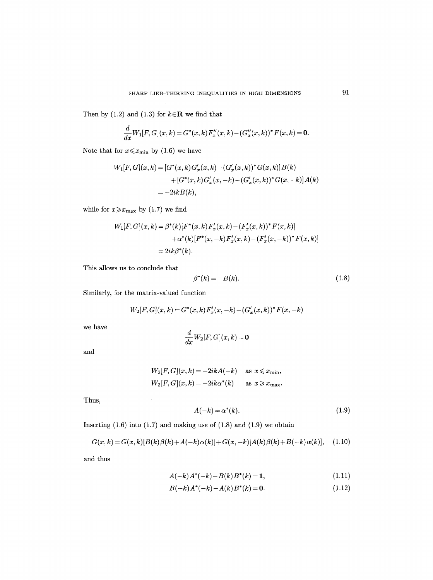Then by (1.2) and (1.3) for  $k \in \mathbb{R}$  we find that

$$
\frac{d}{dx}W_1[F,G](x,k) = G^*(x,k)F''_x(x,k) - (G''_x(x,k))^*F(x,k) = 0.
$$

Note that for  $x \leq x_{\text{min}}$  by (1.6) we have

$$
W_1[F, G](x, k) = [G^*(x, k)G'_x(x, k) - (G'_x(x, k))^* G(x, k)]B(k)
$$
  
+ [G^\*(x, k)G'\_x(x, -k) - (G'\_x(x, k))^\* G(x, -k)]A(k)  
= -2ikB(k),

while for  $x \geq x_{\text{max}}$  by (1.7) we find

$$
W_1[F, G](x, k) = \beta^*(k)[F^*(x, k) F'_x(x, k) - (F'_x(x, k))^* F(x, k)]
$$
  
+ 
$$
\alpha^*(k)[F^*(x, -k) F'_x(x, k) - (F'_x(x, -k))^* F(x, k)]
$$
  
= 
$$
2ik\beta^*(k).
$$

This allows us to conclude that

$$
\beta^*(k) = -B(k). \tag{1.8}
$$

Similarly, for the matrix-valued function

$$
W_2[F, G](x, k) = G^*(x, k) F'_x(x, -k) - (G'_x(x, k))^* F(x, -k)
$$

we have

$$
\frac{d}{dx}W_2[F,G](x,k)=\mathbf{0}
$$

and

$$
W_2[F, G](x, k) = -2ikA(-k) \quad \text{as } x \leq x_{\min},
$$
  

$$
W_2[F, G](x, k) = -2ik\alpha^*(k) \quad \text{as } x \geq x_{\max}.
$$

Thus,

$$
A(-k) = \alpha^*(k). \tag{1.9}
$$

Inserting  $(1.6)$  into  $(1.7)$  and making use of  $(1.8)$  and  $(1.9)$  we obtain

$$
G(x,k) = G(x,k)[B(k)\beta(k) + A(-k)\alpha(k)] + G(x,-k)[A(k)\beta(k) + B(-k)\alpha(k)], \quad (1.10)
$$

and thus

$$
A(-k)A^*(-k) - B(k)B^*(k) = 1,
$$
\n(1.11)

$$
B(-k)A^*(-k) - A(k)B^*(k) = 0.
$$
\n(1.12)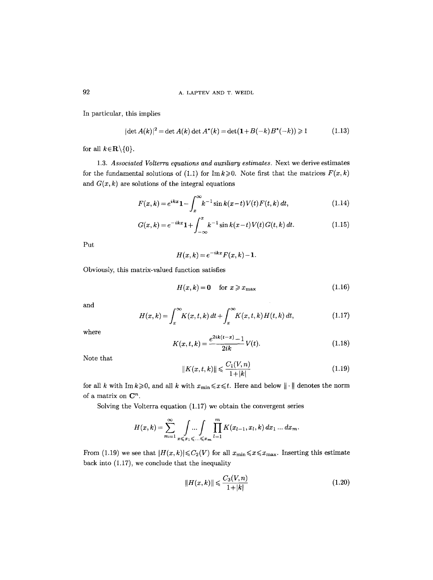In particular, this implies

$$
|\det A(k)|^2 = \det A(k) \det A^*(k) = \det(\mathbf{1} + B(-k)B^*(-k)) \ge 1
$$
 (1.13)

for all  $k \in \mathbf{R} \setminus \{0\}$ .

1.3. *Associated Volterra equations and auxiliary estimates.* Next we derive estimates for the fundamental solutions of (1.1) for  $\text{Im } k \geqslant 0$ . Note first that the matrices  $F(x, k)$ and  $G(x, k)$  are solutions of the integral equations

$$
F(x,k) = e^{ikx} \mathbf{1} - \int_{x}^{\infty} k^{-1} \sin k(x-t) V(t) F(t,k) dt,
$$
\n(1.14)

$$
G(x,k) = e^{-ikx} \mathbf{1} + \int_{-\infty}^{x} k^{-1} \sin k(x-t) V(t) G(t,k) dt.
$$
 (1.15)

Put

$$
H(x,k) = e^{-ikx} F(x,k) - 1.
$$

Obviously, this matrix-valued function satisfies

$$
H(x,k) = 0 \quad \text{for } x \geq x_{\text{max}} \tag{1.16}
$$

and

$$
H(x,k) = \int_{x}^{\infty} K(x,t,k) dt + \int_{x}^{\infty} K(x,t,k) H(t,k) dt,
$$
 (1.17)

where

$$
K(x,t,k) = \frac{e^{2ik(t-x)} - 1}{2ik} V(t).
$$
 (1.18)

Note that

$$
||K(x,t,k)|| \leqslant \frac{C_1(V,n)}{1+|k|} \tag{1.19}
$$

for all k with Im $k\geqslant 0$ , and all k with  $x_{\min}\leqslant x\leqslant t$ . Here and below  $\|\cdot\|$  denotes the norm of a matrix on  $\mathbb{C}^n$ .

Solving the Volterra equation (1.17) we obtain the convergent series

$$
H(x,k)=\sum_{m=1}^{\infty}\int\limits_{x\leqslant x_1\leqslant...\leqslant x_m}\prod_{l=1}^mK(x_{l-1},x_l,k)\,dx_1\ldots dx_m.
$$

From (1.19) we see that  $|H(x,k)| \leq C_2(V)$  for all  $x_{\min} \leq x \leq x_{\max}$ . Inserting this estimate back into  $(1.17)$ , we conclude that the inequality

$$
||H(x,k)|| \leqslant \frac{C_3(V,n)}{1+|k|} \tag{1.20}
$$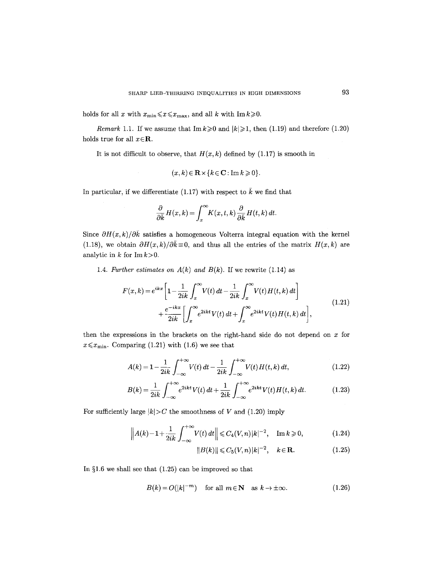holds for all x with  $x_{\min} \le x \le x_{\max}$ , and all k with  $\text{Im } k \ge 0$ .

*Remark* 1.1. If we assume that  $\text{Im } k \geq 0$  and  $|k| \geq 1$ , then (1.19) and therefore (1.20) holds true for all  $x \in \mathbb{R}$ .

It is not difficult to observe, that  $H(x, k)$  defined by (1.17) is smooth in

$$
(x,k)\in\mathbf{R}\times\{k\in\mathbf{C}: \text{Im }k\geqslant 0\}.
$$

In particular, if we differentiate (1.17) with respect to  $\bar{k}$  we find that

$$
\frac{\partial}{\partial \bar{k}} H(x,k) = \int_x^{\infty} K(x,t,k) \frac{\partial}{\partial \bar{k}} H(t,k) dt.
$$

Since  $\partial H(x,k)/\partial \bar{k}$  satisfies a homogeneous Volterra integral equation with the kernel (1.18), we obtain  $\partial H(x,k)/\partial \bar{k} \equiv 0$ , and thus all the entries of the matrix  $H(x,k)$  are analytic in  $k$  for  $\text{Im } k > 0$ .

1.4. *Further estimates on*  $A(k)$  *and*  $B(k)$ . If we rewrite (1.14) as

$$
F(x,k) = e^{ikx} \left[ 1 - \frac{1}{2ik} \int_x^{\infty} V(t) dt - \frac{1}{2ik} \int_x^{\infty} V(t) H(t,k) dt \right]
$$
  
+ 
$$
\frac{e^{-ikx}}{2ik} \left[ \int_x^{\infty} e^{2ikt} V(t) dt + \int_x^{\infty} e^{2ikt} V(t) H(t,k) dt \right],
$$
(1.21)

then the expressions in the brackets on the right-hand side do not depend on  $x$  for  $x \leq x_{\text{min}}$ . Comparing (1.21) with (1.6) we see that

$$
A(k) = 1 - \frac{1}{2ik} \int_{-\infty}^{+\infty} V(t) dt - \frac{1}{2ik} \int_{-\infty}^{+\infty} V(t) H(t, k) dt,
$$
 (1.22)

$$
B(k) = \frac{1}{2ik} \int_{-\infty}^{+\infty} e^{2ikt} V(t) dt + \frac{1}{2ik} \int_{-\infty}^{+\infty} e^{2ikt} V(t) H(t, k) dt.
$$
 (1.23)

For sufficiently large  $|k| > C$  the smoothness of V and (1.20) imply

$$
\left\| A(k) - 1 + \frac{1}{2ik} \int_{-\infty}^{+\infty} V(t) dt \right\| \leq C_4(V, n) |k|^{-2}, \quad \text{Im } k \geq 0,
$$
 (1.24)

$$
||B(k)|| \leq C_5(V,n)|k|^{-2}, \quad k \in \mathbf{R}.\tag{1.25}
$$

In  $\S1.6$  we shall see that  $(1.25)$  can be improved so that

$$
B(k) = O(|k|^{-m}) \quad \text{for all } m \in \mathbb{N} \quad \text{as } k \to \pm \infty. \tag{1.26}
$$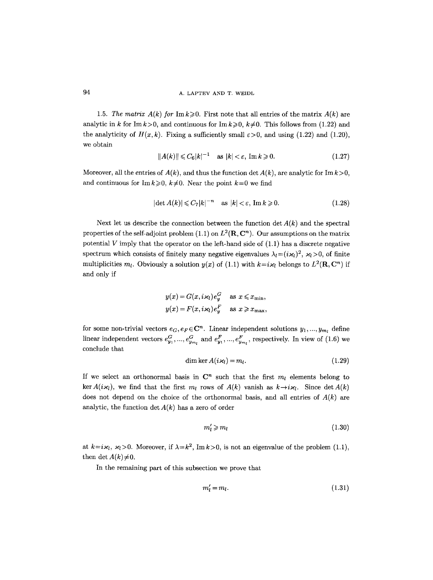1.5. *The matrix A(k) for Imk* $\geq 0$ . First note that all entries of the matrix  $A(k)$  are analytic in k for Im  $k>0$ , and continuous for Im  $k\geqslant 0$ ,  $k\neq 0$ . This follows from (1.22) and the analyticity of  $H(x, k)$ . Fixing a sufficiently small  $\varepsilon > 0$ , and using (1.22) and (1.20), we obtain

$$
||A(k)|| \leq C_6|k|^{-1} \quad \text{as } |k| < \varepsilon, \text{ Im } k \geqslant 0. \tag{1.27}
$$

Moreover, all the entries of  $A(k)$ , and thus the function det  $A(k)$ , are analytic for Im  $k>0$ , and continuous for Im $k\geq 0$ ,  $k\neq 0$ . Near the point  $k=0$  we find

$$
|\det A(k)| \leqslant C_7 |k|^{-n} \quad \text{as } |k| < \varepsilon, \text{ Im } k \geqslant 0. \tag{1.28}
$$

Next let us describe the connection between the function  $\det A(k)$  and the spectral properties of the self-adjoint problem (1.1) on  $L^2(\mathbf{R}, \mathbf{C}^n)$ . Our assumptions on the matrix potential  $V$  imply that the operator on the left-hand side of  $(1.1)$  has a discrete negative spectrum which consists of finitely many negative eigenvalues  $\lambda_l = (i \varkappa_l)^2$ ,  $\varkappa_l > 0$ , of finite multiplicities  $m_l$ . Obviously a solution  $y(x)$  of (1.1) with  $k=i\kappa_l$  belongs to  $L^2(\mathbf{R}, \mathbf{C}^n)$  if and only if

$$
y(x) = G(x, i\varkappa_l)e_y^G \quad \text{as } x \leq x_{\min},
$$
  

$$
y(x) = F(x, i\varkappa_l)e_y^F \quad \text{as } x \geq x_{\max},
$$

for some non-trivial vectors  $e_G, e_F \in \mathbb{C}^n$ . Linear independent solutions  $y_1, ..., y_{m_l}$  define linear independent vectors  $e_{y_1}^G, ..., e_{y_{m_l}}^G$  and  $e_{y_1}^F, ..., e_{y_{m_l}}^F$ , respectively. In view of (1.6) we conclude that

$$
\dim \ker A(i\mathcal{H}) = m_l. \tag{1.29}
$$

If we select an orthonormal basis in  $\mathbb{C}^n$  such that the first  $m_l$  elements belong to ker  $A(i\kappa_l)$ , we find that the first  $m_l$  rows of  $A(k)$  vanish as  $k\rightarrow i\kappa_l$ . Since det  $A(k)$ does not depend on the choice of the orthonormal basis, and all entries of  $A(k)$  are analytic, the function det *A(k)* has a zero of order

$$
m_l' \geqslant m_l \tag{1.30}
$$

at  $k=i\kappa_l$ ,  $\kappa_l>0$ . Moreover, if  $\lambda=k^2$ , Im  $k>0$ , is not an eigenvalue of the problem (1.1), then det  $A(k) \neq 0$ .

In the remaining part of this subsection we prove that

$$
m'_l = m_l. \tag{1.31}
$$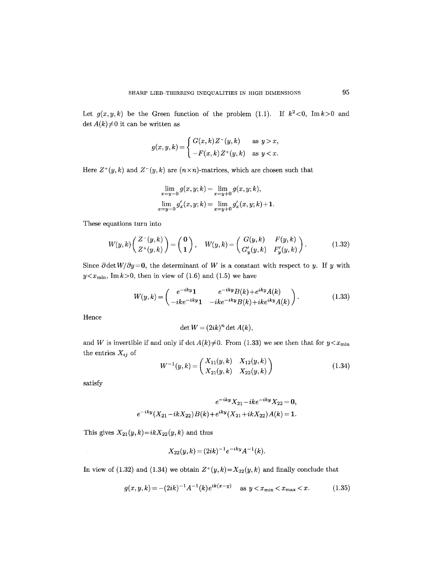Let  $g(x, y, k)$  be the Green function of the problem (1.1). If  $k^2 < 0$ , Im $k > 0$  and det  $A(k) \neq 0$  it can be written as

$$
g(x,y,k) = \begin{cases} G(x,k)Z^-(y,k) & \text{as } y > x, \\ -F(x,k)Z^+(y,k) & \text{as } y < x. \end{cases}
$$

Here  $Z^+(y, k)$  and  $Z^-(y, k)$  are  $(n \times n)$ -matrices, which are chosen such that

$$
\lim_{x=y-0}g(x,y;k)=\lim_{x=y+0}g(x,y;k),
$$
  

$$
\lim_{x=y-0}g'_x(x,y;k)=\lim_{x=y+0}g'_x(x,y;k)+1.
$$

These equations turn into

$$
W(y,k)\begin{pmatrix} Z^-(y,k) \\ Z^+(y,k) \end{pmatrix} = \begin{pmatrix} \mathbf{0} \\ \mathbf{1} \end{pmatrix}, \quad W(y,k) = \begin{pmatrix} G(y,k) & F(y,k) \\ G'_y(y,k) & F'_y(y,k) \end{pmatrix}.
$$
 (1.32)

Since  $\partial \det W / \partial y = 0$ , the determinant of W is a constant with respect to y. If y with  $y \lt x_{\min}$ , Imk>0, then in view of (1.6) and (1.5) we have

$$
W(y,k) = \begin{pmatrix} e^{-iky}\mathbf{1} & e^{-iky}B(k) + e^{iky}A(k) \\ -ike^{-iky}\mathbf{1} & -ike^{-iky}B(k) + ike^{iky}A(k) \end{pmatrix}.
$$
 (1.33)

Hence

$$
\det W = (2ik)^n \det A(k),
$$

and W is invertible if and only if  $\det A(k) \neq 0$ . From (1.33) we see then that for  $y \lt x_{\min}$ the entries *Xij* of

$$
W^{-1}(y,k) = \begin{pmatrix} X_{11}(y,k) & X_{12}(y,k) \\ X_{21}(y,k) & X_{22}(y,k) \end{pmatrix}
$$
 (1.34)

satisfy

 $\mathcal{A}^{\mathcal{A}}$ 

$$
e^{-iky}X_{21} - ike^{-iky}X_{22} = 0,
$$
  

$$
e^{-iky}(X_{21} - ikX_{22})B(k) + e^{iky}(X_{21} + ikX_{22})A(k) = 1.
$$

This gives  $X_{21}(y,k)=ikX_{22}(y,k)$  and thus

$$
X_{22}(y,k) = (2ik)^{-1}e^{-iky}A^{-1}(k).
$$

In view of (1.32) and (1.34) we obtain  $Z^+(y, k)=X_{22}(y, k)$  and finally conclude that

$$
g(x, y, k) = -(2ik)^{-1}A^{-1}(k)e^{ik(x-y)} \quad \text{as } y < x_{\min} < x_{\max} < x. \tag{1.35}
$$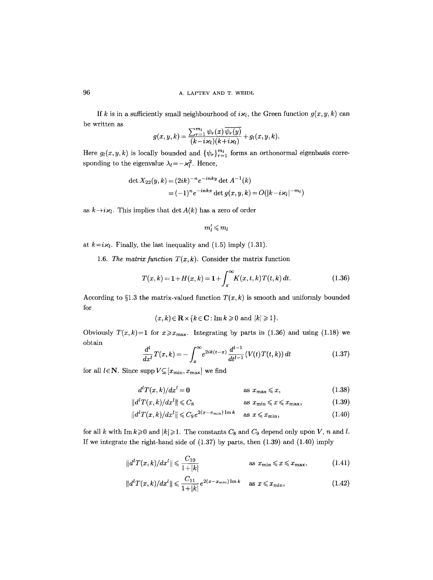If k is in a sufficiently small neighbourhood of  $i\kappa_l$ , the Green function  $g(x, y, k)$  can be written as

$$
g(x, y, k) = \frac{\sum_{r=1}^{m_l} \psi_r(x) \overline{\psi_r(y)}}{(k - i\varkappa_l)(k + i\varkappa_l)} + g_l(x, y, k).
$$

Here  $g_l(x, y, k)$  is locally bounded and  $\{\psi_r\}_{r=1}^{m_l}$  forms an orthonormal eigenbasis corresponding to the eigenvalue  $\lambda_l = -\varkappa_l^2$ . Hence,

det 
$$
X_{22}(y, k) = (2ik)^{-n}e^{-inky}
$$
 det  $A^{-1}(k)$   
=  $(-1)^{n}e^{-inkx}$  det  $g(x, y, k) = O(|k - i \varkappa_{l}|^{-m_{l}})$ 

as  $k \rightarrow i \varkappa_l$ . This implies that det  $A(k)$  has a zero of order

$$
m'_l \! \leqslant \! m_l
$$

at  $k=i\mathcal{H}$ . Finally, the last inequality and (1.5) imply (1.31).

1.6. *The matrix function*  $T(x, k)$ . Consider the matrix function

$$
T(x,k) = 1 + H(x,k) = 1 + \int_{x}^{\infty} K(x,t,k)T(t,k) dt.
$$
 (1.36)

According to  $\S1.3$  the matrix-valued function  $T(x, k)$  is smooth and uniformly bounded for

$$
(x,k) \in \mathbb{R} \times \{k \in \mathbb{C} : \text{Im } k \geqslant 0 \text{ and } |k| \geqslant 1\}.
$$

Obviously  $T(x,k)=1$  for  $x \ge x_{\text{max}}$ . Integrating by parts in (1.36) and using (1.18) we obtain

$$
\frac{d^{l}}{dx^{l}}T(x,k) = -\int_{x}^{\infty} e^{2ik(t-x)} \frac{d^{l-1}}{dt^{l-1}} (V(t)T(t,k)) dt
$$
\n(1.37)

for all  $l \in \mathbb{N}$ . Since supp  $V \subseteq [x_{\min}, x_{\max}]$  we find

$$
t^{l}T(x,k)/dx^{l} = \mathbf{0} \qquad \qquad \text{as } x_{\max} \leqslant x,\tag{1.38}
$$

$$
d^{l}T(x,k)/dx^{l} = \mathbf{0}
$$
 as  $x_{\text{max}} \leq x$ , (1.38)  

$$
||d^{l}T(x,k)/dx^{l}|| \leq C_{8}
$$
 as  $x_{\text{min}} \leq x \leq x_{\text{max}}$ , (1.39)

$$
||d^l T(x,k)/dx^l|| \leq C_9 e^{2(x-x_{\min}) \operatorname{Im} k} \quad \text{as } x \leq x_{\min},\tag{1.40}
$$

for all k with  $\text{Im } k \geq 0$  and  $|k| \geq 1$ . The constants  $C_8$  and  $C_9$  depend only upon V, n and l. If we integrate the right-hand side of (1.37) by parts, then (1.39) and (1.40) imply

$$
||d^{t}T(x,k)/dx^{t}|| \leq \frac{C_{10}}{1+|k|} \qquad \qquad \text{as } x_{\min} \leq x \leq x_{\max}, \tag{1.41}
$$

$$
||d^{l}T(x,k)/dx^{l}|| \leq \frac{C_{11}}{1+|k|}e^{2(x-x_{\min})\operatorname{Im}k} \quad \text{as } x \leq x_{\min},
$$
 (1.42)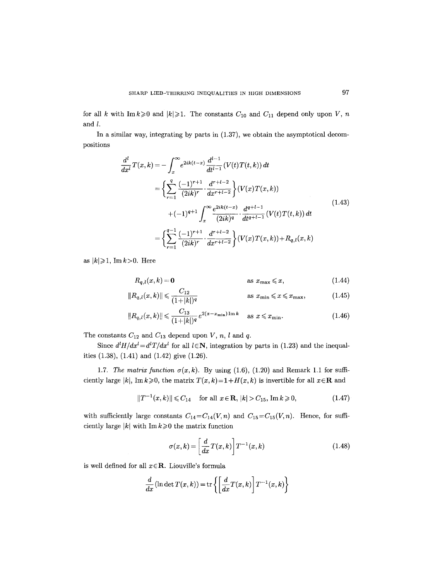for all k with  $\text{Im } k \geq 0$  and  $|k|\geq 1$ . The constants  $C_{10}$  and  $C_{11}$  depend only upon V, n and  $l$ .

In a similar way, integrating by parts in (1.37), we obtain the asymptotical decompositions

$$
\frac{d^{l}}{dx^{l}}T(x,k) = -\int_{x}^{\infty} e^{2ik(t-x)} \frac{d^{l-1}}{dt^{l-1}} (V(t)T(t,k)) dt
$$
\n
$$
= \left\{ \sum_{r=1}^{q} \frac{(-1)^{r+1}}{(2ik)^{r}} \cdot \frac{d^{r+l-2}}{dx^{r+l-2}} \right\} (V(x)T(x,k))
$$
\n
$$
+ (-1)^{q+1} \int_{x}^{\infty} \frac{e^{2ik(t-x)}}{(2ik)^{q}} \cdot \frac{d^{q+l-1}}{dt^{q+l-1}} (V(t)T(t,k)) dt
$$
\n
$$
= \left\{ \sum_{r=1}^{q-1} \frac{(-1)^{r+1}}{(2ik)^{r}} \cdot \frac{d^{r+l-2}}{dx^{r+l-2}} \right\} (V(x)T(x,k)) + R_{q,l}(x,k)
$$
\n(1.43)

as  $|k| \geq 1$ , Im  $k > 0$ . Here

$$
R_{q,l}(x,k) = \mathbf{0} \qquad \qquad \text{as } x_{\max} \leq x, \tag{1.44}
$$

$$
||R_{q,l}(x,k)|| \leq \frac{C_{12}}{(1+|k|)^q} \qquad \text{as } x_{\min} \leq x \leq x_{\max}, \tag{1.45}
$$

$$
||R_{q,l}(x,k)|| \leq \frac{C_{13}}{(1+|k|)^q} e^{2(x-x_{\min})\operatorname{Im}k} \quad \text{as } x \leq x_{\min}.
$$
 (1.46)

The constants  $C_{12}$  and  $C_{13}$  depend upon V, n, l and q.

Since  $d^lH/dx^l = d^lT/dx^l$  for all  $l \in \mathbb{N}$ , integration by parts in (1.23) and the inequalities (1.38), (1.41) and (1.42) give (1.26).

1.7. *The matrix function*  $\sigma(x, k)$ . By using (1.6), (1.20) and Remark 1.1 for sufficiently large |k|, Imk $\geqslant$ 0, the matrix  $T(x, k)=1+H(x, k)$  is invertible for all  $x \in \mathbb{R}$  and

$$
||T^{-1}(x,k)|| \le C_{14} \quad \text{for all } x \in \mathbf{R}, \, |k| > C_{15}, \, \operatorname{Im} k \ge 0,\tag{1.47}
$$

with sufficiently large constants  $C_{14}=C_{14}(V,n)$  and  $C_{15}=C_{15}(V,n)$ . Hence, for sufficiently large  $|k|$  with Im  $k \geq 0$  the matrix function

$$
\sigma(x,k) = \left[\frac{d}{dx}T(x,k)\right]T^{-1}(x,k)
$$
\n(1.48)

is well defined for all  $x \in \mathbb{R}$ . Liouville's formula

$$
\frac{d}{dx}(\ln \det T(x,k)) = \text{tr}\left\{ \left[ \frac{d}{dx} T(x,k) \right] T^{-1}(x,k) \right\}
$$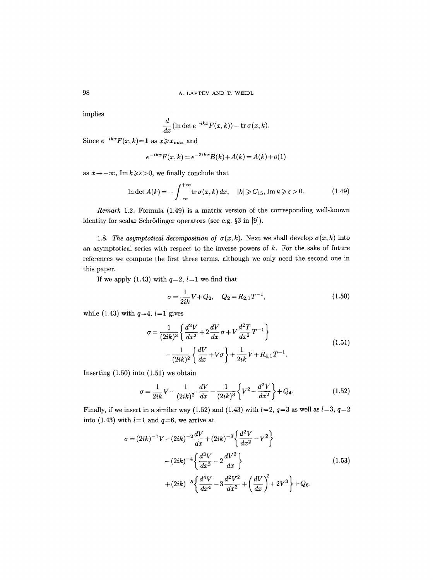98 A. LAPTEV AND T. WEIDL

implies

$$
\frac{d}{dx}(\ln \det e^{-ikx}F(x,k)) = \text{tr}\,\sigma(x,k).
$$

Since  $e^{-ikx}F(x,k)=1$  as  $x \ge x_{\text{max}}$  and

$$
e^{-ikx}F(x,k) = e^{-2ikx}B(k) + A(k) = A(k) + o(1)
$$

as  $x \rightarrow -\infty$ , Im  $k \geq \varepsilon > 0$ , we finally conclude that

$$
\ln \det A(k) = -\int_{-\infty}^{+\infty} \operatorname{tr} \sigma(x, k) \, dx, \quad |k| \geqslant C_{15}, \operatorname{Im} k \geqslant \varepsilon > 0. \tag{1.49}
$$

*Remark* 1.2. Formula (1.49) is a matrix version of the corresponding well-known identity for scalar Schrödinger operators (see e.g. §3 in [9]).

1.8. *The asymptotical decomposition of*  $\sigma(x, k)$ . Next we shall develop  $\sigma(x, k)$  into an asymptotical series with respect to the inverse powers of  $k$ . For the sake of future references we compute the first three terms, although we only need the second one in this paper.

If we apply (1.43) with  $q=2, l=1$  we find that

$$
\sigma = \frac{1}{2ik}V + Q_2, \quad Q_2 = R_{2,1}T^{-1}, \tag{1.50}
$$

while (1.43) with  $q=4$ ,  $l=1$  gives

$$
\sigma = \frac{1}{(2ik)^3} \left\{ \frac{d^2V}{dx^2} + 2\frac{dV}{dx}\sigma + V\frac{d^2T}{dx^2}T^{-1} \right\}
$$
  

$$
-\frac{1}{(2ik)^2} \left\{ \frac{dV}{dx} + V\sigma \right\} + \frac{1}{2ik}V + R_{4,1}T^{-1}.
$$
 (1.51)

Inserting (1.50) into (1.51) we obtain

$$
\sigma = \frac{1}{2ik}V - \frac{1}{(2ik)^2} \cdot \frac{dV}{dx} - \frac{1}{(2ik)^3} \left\{ V^2 - \frac{d^2V}{dx^2} \right\} + Q_4.
$$
 (1.52)

Finally, if we insert in a similar way (1.52) and (1.43) with  $l=2$ ,  $q=3$  as well as  $l=3$ ,  $q=2$ into (1.43) with  $l=1$  and  $q=6$ , we arrive at

$$
\sigma = (2ik)^{-1}V - (2ik)^{-2}\frac{dV}{dx} + (2ik)^{-3}\left\{\frac{d^2V}{dx^2} - V^2\right\}
$$

$$
- (2ik)^{-4}\left\{\frac{d^3V}{dx^3} - 2\frac{dV^2}{dx}\right\}
$$

$$
+ (2ik)^{-5}\left\{\frac{d^4V}{dx^4} - 3\frac{d^2V^2}{dx^2} + \left(\frac{dV}{dx}\right)^2 + 2V^3\right\} + Q_6.
$$

$$
(1.53)
$$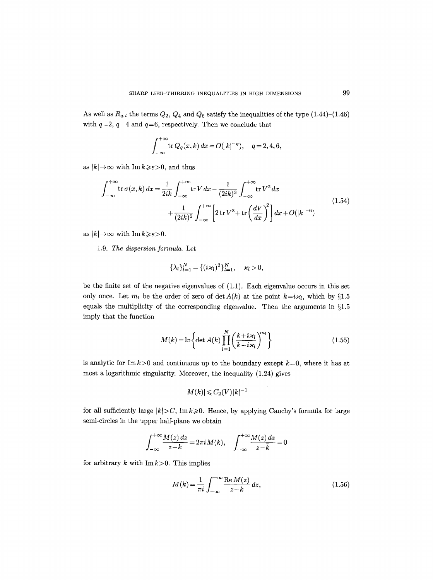As well as  $R_{q,l}$  the terms  $Q_2$ ,  $Q_4$  and  $Q_6$  satisfy the inequalities of the type  $(1.44)$ – $(1.46)$ with  $q=2$ ,  $q=4$  and  $q=6$ , respectively. Then we conclude that

$$
\int_{-\infty}^{+\infty} \operatorname{tr} Q_q(x,k) \, dx = O(|k|^{-q}), \quad q = 2, 4, 6,
$$

as  $|k| \rightarrow \infty$  with Im  $k \geq \varepsilon > 0$ , and thus

$$
\int_{-\infty}^{+\infty} \text{tr}\,\sigma(x,k) \, dx = \frac{1}{2ik} \int_{-\infty}^{+\infty} \text{tr}\,V \, dx - \frac{1}{(2ik)^3} \int_{-\infty}^{+\infty} \text{tr}\,V^2 \, dx + \frac{1}{(2ik)^5} \int_{-\infty}^{+\infty} \left[2 \,\text{tr}\,V^3 + \text{tr}\left(\frac{dV}{dx}\right)^2\right] dx + O(|k|^{-6})
$$
\n(1.54)

as  $|k| \to \infty$  with  $\text{Im } k \geq \varepsilon > 0$ .

*1.9. The dispersion formula.* Let

$$
\{\lambda_l\}_{l=1}^N = \{ (i\varkappa_l)^2 \}_{l=1}^N, \quad \varkappa_l > 0,
$$

be the finite set of the negative eigenvalues of (1.1). Each eigenvalue occurs in this set only once. Let  $m_l$  be the order of zero of det  $A(k)$  at the point  $k=i\kappa_l$ , which by §1.5 equals the multiplicity of the corresponding eigenvalue. Then the arguments in  $\S1.5$ imply that the function

$$
M(k) = \ln\left\{\det A(k) \prod_{l=1}^{N} \left(\frac{k+i\varkappa_l}{k-i\varkappa_l}\right)^{m_l}\right\}
$$
 (1.55)

is analytic for Im  $k>0$  and continuous up to the boundary except  $k=0$ , where it has at most a logarithmic singularity. Moreover, the inequality (1.24) gives

$$
|M(k)|\!\leqslant\!C_{2}(V)|k|^{-1}
$$

for all sufficiently large  $|k| > C$ , Im  $k \ge 0$ . Hence, by applying Cauchy's formula for large semi-circles in the upper half-plane we obtain

$$
\int_{-\infty}^{+\infty} \frac{M(z) dz}{z-k} = 2\pi i M(k), \quad \int_{-\infty}^{+\infty} \frac{M(z) dz}{z - \bar{k}} = 0
$$

for arbitrary k with  $\text{Im } k > 0$ . This implies

 $\bar{z}$ 

$$
M(k) = \frac{1}{\pi i} \int_{-\infty}^{+\infty} \frac{\text{Re } M(z)}{z - k} dz,
$$
 (1.56)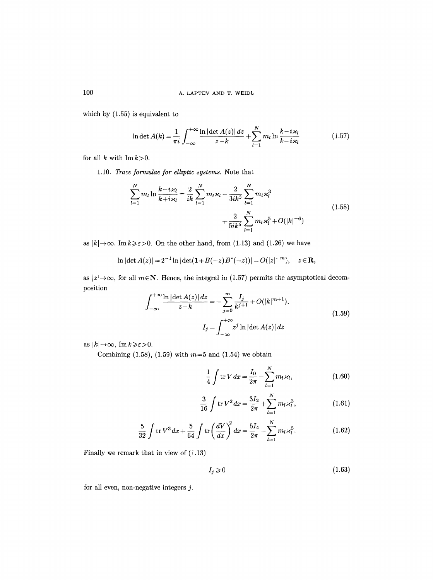which by (1.55) is equivalent to

$$
\ln \det A(k) = \frac{1}{\pi i} \int_{-\infty}^{+\infty} \frac{\ln |\det A(z)| dz}{z - k} + \sum_{l=1}^{N} m_l \ln \frac{k - i\varkappa_l}{k + i\varkappa_l}
$$
(1.57)

for all k with  $\text{Im } k > 0$ .

1.10. *Trace formulae for elliptic systems.* Note that

$$
\sum_{l=1}^{N} m_l \ln \frac{k - i \varkappa_l}{k + i \varkappa_l} = \frac{2}{ik} \sum_{l=1}^{N} m_l \varkappa_l - \frac{2}{3ik^3} \sum_{l=1}^{N} m_l \varkappa_l^3 + \frac{2}{5ik^5} \sum_{l=1}^{N} m_l \varkappa_l^5 + O(|k|^{-6})
$$
\n(1.58)

as  $|k| \to \infty$ , Im $k \geq \varepsilon > 0$ . On the other hand, from (1.13) and (1.26) we have

$$
\ln |\det A(z)| = 2^{-1} \ln |\det(\mathbf{1} + B(-z)B^*(-z))| = O(|z|^{-m}), \quad z \in \mathbf{R},
$$

as  $|z| \rightarrow \infty$ , for all  $m \in \mathbb{N}$ . Hence, the integral in (1.57) permits the asymptotical decomposition

$$
\int_{-\infty}^{+\infty} \frac{\ln|\det A(z)| \, dz}{z - k} = -\sum_{j=0}^{m} \frac{I_j}{k^{j+1}} + O(|k|^{m+1}),
$$
\n
$$
I_j = \int_{-\infty}^{+\infty} z^j \ln|\det A(z)| \, dz
$$
\n(1.59)

as  $|k| \rightarrow \infty$ , Im $k \geq \varepsilon > 0$ .

Combining  $(1.58)$ ,  $(1.59)$  with  $m=5$  and  $(1.54)$  we obtain

$$
\frac{1}{4} \int \text{tr} \, V \, dx = \frac{I_0}{2\pi} - \sum_{l=1}^{N} m_l \, \varkappa_l, \tag{1.60}
$$

$$
\frac{3}{16} \int \text{tr} \, V^2 \, dx = \frac{3I_2}{2\pi} + \sum_{l=1}^{N} m_l \, \varkappa_l^3,\tag{1.61}
$$

$$
\frac{5}{32} \int \text{tr} \, V^3 \, dx + \frac{5}{64} \int \text{tr} \left( \frac{dV}{dx} \right)^2 dx = \frac{5I_4}{2\pi} - \sum_{l=1}^N m_l \, \varkappa_l^5. \tag{1.62}
$$

Finally we remark that in view of (1.13)

$$
I_j \geqslant 0 \tag{1.63}
$$

for all even, non-negative integers  $j$ .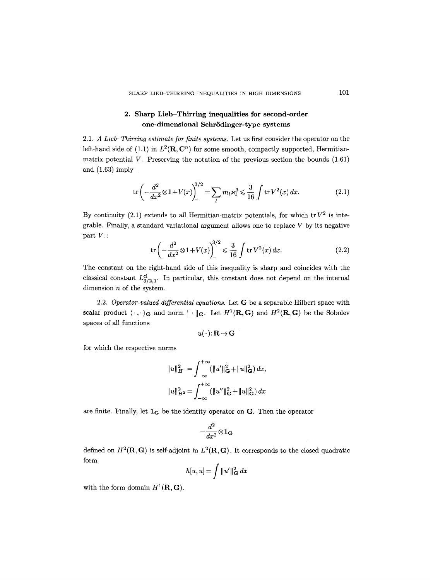## 2. Sharp Lieb-Thirring inequalities for second-order one-dimensional Schrödinger-type systems

*2.1. A Lieb-Thirring estimate for finite systems.* Let us first consider the operator on the left-hand side of (1.1) in  $L^2(\mathbf{R}, \mathbf{C}^n)$  for some smooth, compactly supported, Hermitianmatrix potential  $V$ . Preserving the notation of the previous section the bounds  $(1.61)$ and (1.63) imply

$$
\operatorname{tr}\left(-\frac{d^2}{dx^2}\otimes 1 + V(x)\right)^{3/2} = \sum_l m_l \varkappa_l^3 \leq \frac{3}{16} \int \operatorname{tr} V^2(x) \, dx. \tag{2.1}
$$

By continuity (2.1) extends to all Hermitian-matrix potentials, for which  $\text{tr }V^2$  is integrable. Finally, a standard variational argument allows one to replace  $V$  by its negative part  $V_{-}$ :

$$
\operatorname{tr}\left(-\frac{d^2}{dx^2}\otimes 1 + V(x)\right)^{3/2} \leq \frac{3}{16} \int \operatorname{tr} V_{-}^{2}(x) \, dx. \tag{2.2}
$$

The constant on the right-hand side of this inequality is sharp and coincides with the classical constant  $L_{3/2,1}^{cl}$ . In particular, this constant does not depend on the internal dimension  $n$  of the system.

2.2. *Operator-valued differential equations.* Let G be a separable Hilbert space with scalar product  $\langle \cdot, \cdot \rangle_{\mathbf{G}}$  and norm  $\|\cdot\|_{\mathbf{G}}$ . Let  $H^1(\mathbf{R},\mathbf{G})$  and  $H^2(\mathbf{R},\mathbf{G})$  be the Sobolev spaces of all functions

$$
u(\,\cdot\,)\colon\mathbf{R}\to\mathbf{G}
$$

for which the respective norms

$$
||u||_{H^1}^2 = \int_{-\infty}^{+\infty} (||u'||_G^2 + ||u||_G^2) dx,
$$
  

$$
||u||_{H^2}^2 = \int_{-\infty}^{+\infty} (||u''||_G^2 + ||u||_G^2) dx
$$

are finite. Finally, let  $1_G$  be the identity operator on G. Then the operator

$$
-\frac{d^2}{dx^2}\!\otimes\! {\bf 1_G}
$$

defined on  $H^2(\mathbf{R}, \mathbf{G})$  is self-adjoint in  $L^2(\mathbf{R}, \mathbf{G})$ . It corresponds to the closed quadratic form

$$
h[u, u] = \int ||u'||^2_{\mathbf{G}} dx
$$

with the form domain  $H^1(\mathbf{R}, \mathbf{G})$ .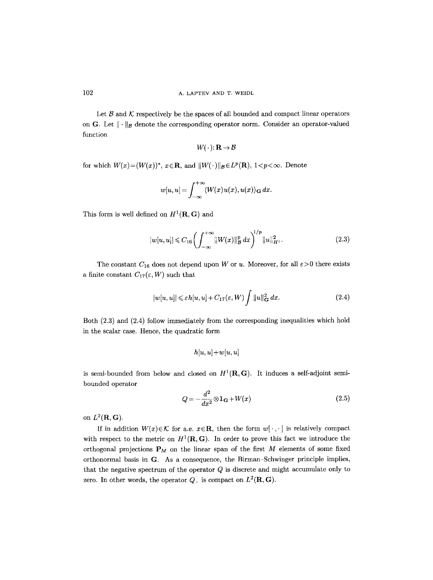Let  $\mathcal B$  and  $\mathcal K$  respectively be the spaces of all bounded and compact linear operators on G. Let  $\|\cdot\|_{\mathcal{B}}$  denote the corresponding operator norm. Consider an operator-valued function

$$
W(\,\cdot\,)\colon\mathbf{R}\to\mathcal{B}
$$

for which  $W(x)=(W(x))^{*}$ ,  $x \in \mathbb{R}$ , and  $||W(\cdot)||_{\mathcal{B}} \in L^{p}(\mathbb{R})$ ,  $1 < p < \infty$ . Denote

$$
w[u, u] = \int_{-\infty}^{+\infty} \langle W(x)u(x), u(x) \rangle_{\mathbf{G}} dx.
$$

This form is well defined on  $H^1(\mathbf{R}, \mathbf{G})$  and

$$
|w[u, u]| \leqslant C_{16} \left( \int_{-\infty}^{+\infty} ||W(x)||_{\mathcal{B}}^p dx \right)^{1/p} ||u||_{H^1}^2. \tag{2.3}
$$

The constant  $C_{16}$  does not depend upon W or u. Moreover, for all  $\varepsilon > 0$  there exists a finite constant  $C_{17}(\varepsilon, W)$  such that

$$
|w[u, u]| \leq \varepsilon h[u, u] + C_{17}(\varepsilon, W) \int ||u||_{\mathbf{G}}^2 dx.
$$
 (2.4)

Both (2.3) and (2.4) follow immediately from the corresponding inequalities which hold in the scalar case. Hence, the quadratic form

$$
h[u,u] + w[u,u]
$$

is semi-bounded from below and closed on  $H^1(\mathbf{R}, \mathbf{G})$ . It induces a self-adjoint semibounded operator

$$
Q = -\frac{d^2}{dx^2} \otimes \mathbf{1}_{\mathbf{G}} + W(x) \tag{2.5}
$$

on  $L^2(\mathbf{R}, \mathbf{G})$ .

If in addition  $W(x) \in \mathcal{K}$  for a.e.  $x \in \mathbb{R}$ , then the form  $w[\cdot, \cdot]$  is relatively compact with respect to the metric on  $H^1(\mathbf{R}, \mathbf{G})$ . In order to prove this fact we introduce the orthogonal projections  $P_M$  on the linear span of the first M elements of some fixed orthonormal basis in  $G$ . As a consequence, the Birman-Schwinger principle implies, that the negative spectrum of the operator  $Q$  is discrete and might accumulate only to zero. In other words, the operator  $Q_{-}$  is compact on  $L^{2}(\mathbf{R}, \mathbf{G})$ .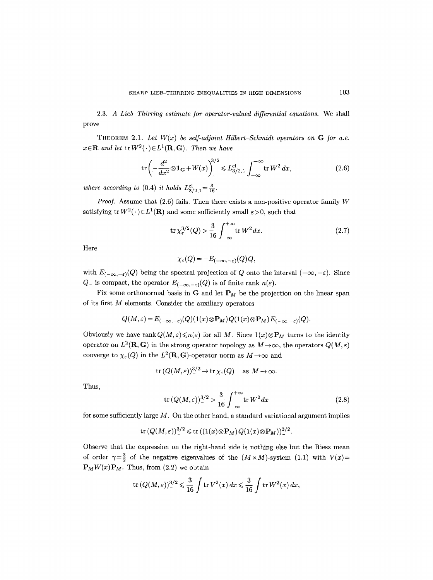2.3. *A Lieb-Thirring estimate for operator-valued differential equations.* We shall prove

THEOREM 2.1. Let  $W(x)$  be self-adjoint Hilbert-Schmidt operators on  $G$  for a.e.  $x \in \mathbb{R}$  and let  $\text{tr } W^2(\cdot) \in L^1(\mathbb{R}, \mathbb{G})$ . Then we have

$$
\operatorname{tr}\left(-\frac{d^2}{dx^2}\otimes \mathbf{1}_{\mathbf{G}}+W(x)\right)^{3/2} \le L_{3/2,1}^{\mathrm{cl}} \int_{-\infty}^{+\infty} \operatorname{tr} W^2 dx,\tag{2.6}
$$

*where according to* (0.4) *it holds*  $L_{3/2,1}^{cl} = \frac{3}{16}$ .

*Proof.* Assume that (2.6) fails. Then there exists a non-positive operator family W satisfying  $tr W^2(\cdot) \in L^1(\mathbf{R})$  and some sufficiently small  $\varepsilon > 0$ , such that

$$
\operatorname{tr}\chi_{\varepsilon}^{3/2}(Q) > \frac{3}{16} \int_{-\infty}^{+\infty} \operatorname{tr} W^2 dx. \tag{2.7}
$$

Here

$$
\chi_{\varepsilon}(Q) = -E_{(-\infty,-\varepsilon)}(Q)Q,
$$

with  $E_{(-\infty,-\varepsilon)}(Q)$  being the spectral projection of Q onto the interval  $(-\infty,-\varepsilon)$ . Since  $Q_{-}$  is compact, the operator  $E_{(-\infty,-\varepsilon)}(Q)$  is of finite rank  $n(\varepsilon)$ .

Fix some orthonormal basis in G and let  $P_M$  be the projection on the linear span of its first M elements. Consider the auxiliary operators

$$
Q(M,\varepsilon)=E_{(-\infty,-\varepsilon)}(Q)(1(x)\otimes \mathbf{P}_M)Q(1(x)\otimes \mathbf{P}_M)E_{(-\infty,-\varepsilon)}(Q).
$$

Obviously we have rank  $Q(M, \varepsilon) \leq n(\varepsilon)$  for all M. Since  $1(x) \otimes P_M$  turns to the identity operator on  $L^2(\mathbf{R}, \mathbf{G})$  in the strong operator topology as  $M \to \infty$ , the operators  $Q(M, \varepsilon)$ converge to  $\chi_{\varepsilon}(Q)$  in the  $L^2(\mathbf{R}, \mathbf{G})$ -operator norm as  $M \to \infty$  and

$$
\operatorname{tr}(Q(M,\varepsilon))^{3/2}_-\to \operatorname{tr}\chi_{\varepsilon}(Q)\quad\text{as }M\to\infty.
$$

Thus,

$$
\text{tr}\,(Q(M,\varepsilon))^{3/2} > \frac{3}{16} \int_{-\infty}^{+\infty} \text{tr}\,W^2 \, dx \tag{2.8}
$$

for some sufficiently large  $M$ . On the other hand, a standard variational argument implies

$$
\mathrm{tr}\, (Q(M,\varepsilon))^{3/2}_-\leqslant \mathrm{tr}\, ((1(x)\!\otimes\! \mathbf{P}_M)\hspace{0.5mm} Q(1(x)\!\otimes\! \mathbf{P}_M))^{3/2}_-
$$

Observe that the expression on the right-hand side is nothing else but the Riesz mean of order  $\gamma = \frac{3}{2}$  of the negative eigenvalues of the  $(M \times M)$ -system (1.1) with  $V(x)$ =  $P_MW(x)P_M$ . Thus, from (2.2) we obtain

$$
\operatorname{tr}\left(Q(M,\varepsilon)\right)^{3/2}_{-} \leq \frac{3}{16} \int \operatorname{tr} V^{2}(x) \, dx \leq \frac{3}{16} \int \operatorname{tr} W^{2}(x) \, dx,
$$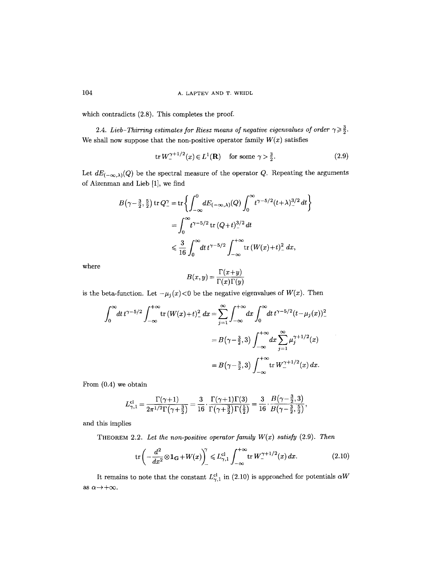which contradicts  $(2.8)$ . This completes the proof.

2.4. *Lieb-Thirring estimates for Riesz means of negative eigenvalues of order*  $\gamma \geqslant \frac{3}{2}$ . We shall now suppose that the non-positive operator family  $W(x)$  satisfies

$$
\text{tr } W_{-}^{\gamma+1/2}(x) \in L^{1}(\mathbf{R}) \quad \text{ for some } \gamma > \frac{3}{2}.
$$
 (2.9)

Let  $dE_{(-\infty,\lambda)}(Q)$  be the spectral measure of the operator Q. Repeating the arguments of Aizenman and Lieb [1], we find

$$
B(\gamma - \frac{3}{2}, \frac{5}{2}) \operatorname{tr} Q^{\gamma}_{-} = \operatorname{tr} \left\{ \int_{-\infty}^{0} dE_{(-\infty,\lambda)}(Q) \int_{0}^{\infty} t^{\gamma - 5/2} (t + \lambda)^{3/2} dt \right\}
$$
  

$$
= \int_{0}^{\infty} t^{\gamma - 5/2} \operatorname{tr} (Q + t)^{3/2} dt
$$
  

$$
\leq \frac{3}{16} \int_{0}^{\infty} dt \, t^{\gamma - 5/2} \int_{-\infty}^{+\infty} \operatorname{tr} (W(x) + t)^{2} dx,
$$

where 
$$
B(x,y) = \frac{\Gamma(x+y)}{\Gamma(x)\Gamma(y)}
$$

is the beta-function. Let  $-\mu_j(x) < 0$  be the negative eigenvalues of  $W(x)$ . Then

$$
\int_0^{\infty} dt \, t^{\gamma - 5/2} \int_{-\infty}^{+\infty} \text{tr} \left( W(x) + t \right)^2 dx = \sum_{j=1}^{\infty} \int_{-\infty}^{+\infty} dx \int_0^{\infty} dt \, t^{\gamma - 5/2} (t - \mu_j(x))^2 dx
$$

$$
= B(\gamma - \frac{3}{2}, 3) \int_{-\infty}^{+\infty} dx \sum_{j=1}^{\infty} \mu_j^{\gamma + 1/2}(x)
$$

$$
= B(\gamma - \frac{3}{2}, 3) \int_{-\infty}^{+\infty} \text{tr} \, W_{-}^{\gamma + 1/2}(x) \, dx.
$$

From (0.4) we obtain

$$
L_{\gamma,1}^{\text{cl}} = \frac{\Gamma(\gamma+1)}{2\pi^{1/2}\Gamma\left(\gamma+\frac{3}{2}\right)} = \frac{3}{16} \cdot \frac{\Gamma(\gamma+1)\Gamma(3)}{\Gamma(\gamma+\frac{3}{2})\Gamma\left(\frac{5}{2}\right)} = \frac{3}{16} \cdot \frac{B\left(\gamma-\frac{3}{2},3\right)}{B\left(\gamma-\frac{3}{2},\frac{5}{2}\right)},
$$

and this implies

THEOREM 2.2. Let the non-positive operator family  $W(x)$  satisfy (2.9). Then

$$
\operatorname{tr}\left(-\frac{d^2}{dx^2}\otimes \mathbf{1}_{\mathbf{G}}+W(x)\right)^{\gamma}_{-} \leq L_{\gamma,1}^{\text{cl}} \int_{-\infty}^{+\infty} \operatorname{tr} W_{-}^{\gamma+1/2}(x) \, dx. \tag{2.10}
$$

It remains to note that the constant  $L_{\gamma,1}^{cl}$  in (2.10) is approached for potentials  $\alpha W$ as  $\alpha \rightarrow +\infty$ .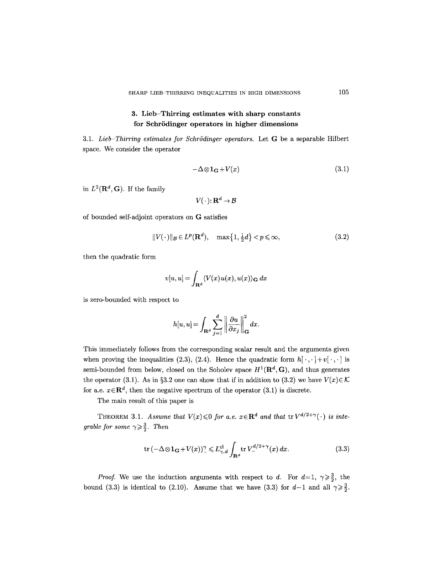## **3.** Lieb-Thirring estimates with sharp constants for Schrödinger operators in higher dimensions

3.1. *Lieb-Thirring estimates for Schrödinger operators.* Let G be a separable Hilbert space. We consider the operator

$$
-\Delta \otimes \mathbf{1}_{\mathbf{G}} + V(x) \tag{3.1}
$$

in  $L^2(\mathbf{R}^d, \mathbf{G})$ . If the family

$$
V(\,\cdot\,)\colon\mathbf{R}^d\to\mathcal{B}
$$

of bounded self-adjoint operators on G satisfies

$$
||V(\cdot)||_{\mathcal{B}} \in L^p(\mathbf{R}^d), \quad \max\left\{1, \frac{1}{2}d\right\} < p \leqslant \infty,\tag{3.2}
$$

then the quadratic form

$$
v[u, u] = \int_{\mathbf{R}^d} \langle V(x)u(x), u(x) \rangle_{\mathbf{G}} dx
$$

is zero-bounded with respect to

$$
h[u, u] = \int_{\mathbf{R}^d} \sum_{j=1}^d \left\| \frac{\partial u}{\partial x_j} \right\|_{\mathbf{G}}^2 dx.
$$

This immediately follows from the corresponding scalar result and the arguments given when proving the inequalities (2.3), (2.4). Hence the quadratic form  $h[\cdot,\cdot] + v[\cdot,\cdot]$  is semi-bounded from below, closed on the Sobolev space  $H^1(\mathbf{R}^d, \mathbf{G})$ , and thus generates the operator (3.1). As in §3.2 one can show that if in addition to (3.2) we have  $V(x) \in \mathcal{K}$ for a.e.  $x \in \mathbb{R}^d$ , then the negative spectrum of the operator (3.1) is discrete.

The main result of this paper is

THEOREM 3.1. *Assume that*  $V(x) \leq 0$  *for a.e.*  $x \in \mathbb{R}^d$  *and that*  $\text{tr } V^{d/2+\gamma}(\cdot)$  *is integrable for some*  $\gamma \geq \frac{3}{2}$ *. Then* 

$$
\operatorname{tr}\left(-\Delta\otimes\mathbf{1}_{\mathbf{G}}+V(x)\right)^{\gamma}\leqslant L_{\gamma,d}^{\operatorname{cl}}\int_{\mathbf{R}^{d}}\operatorname{tr}V_{-}^{d/2+\gamma}(x)\,dx.\tag{3.3}
$$

*Proof.* We use the induction arguments with respect to d. For  $d=1, \gamma \geq \frac{3}{2}$ , the bound (3.3) is identical to (2.10). Assume that we have (3.3) for  $d-1$  and all  $\gamma \geq \frac{3}{2}$ .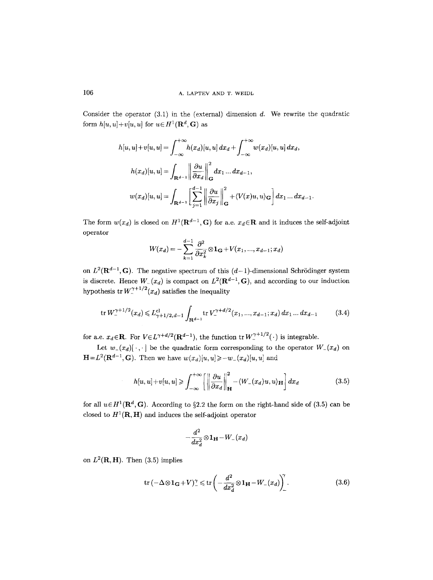Consider the operator  $(3.1)$  in the (external) dimension d. We rewrite the quadratic form  $h[u, u]+v[u, u]$  for  $u \in H^1(\mathbf{R}^d, \mathbf{G})$  as

$$
h[u, u] + v[u, u] = \int_{-\infty}^{+\infty} h(x_d)[u, u] dx_d + \int_{-\infty}^{+\infty} w(x_d)[u, u] dx_d,
$$
  

$$
h(x_d)[u, u] = \int_{\mathbf{R}^{d-1}} \left\| \frac{\partial u}{\partial x_d} \right\|_{\mathbf{G}}^2 dx_1 ... dx_{d-1},
$$
  

$$
w(x_d)[u, u] = \int_{\mathbf{R}^{d-1}} \left[ \sum_{j=1}^{d-1} \left\| \frac{\partial u}{\partial x_j} \right\|_{\mathbf{G}}^2 + \langle V(x)u, u \rangle_{\mathbf{G}} \right] dx_1 ... dx_{d-1}.
$$

The form  $w(x_d)$  is closed on  $H^1(\mathbf{R}^{d-1}, \mathbf{G})$  for a.e.  $x_d \in \mathbf{R}$  and it induces the self-adjoint operator

$$
W(x_d) = -\sum_{k=1}^{d-1} \frac{\partial^2}{\partial x_k^2} \otimes \mathbf{1}_{\mathbf{G}} + V(x_1, ..., x_{d-1}; x_d)
$$

on  $L^2(\mathbf{R}^{d-1}, \mathbf{G})$ . The negative spectrum of this  $(d-1)$ -dimensional Schrödinger system is discrete. Hence  $W_-(x_d)$  is compact on  $L^2(\mathbf{R}^{d-1}, \mathbf{G})$ , and according to our induction hypothesis tr  $W_{-}^{\gamma+1/2}(x_d)$  satisfies the inequality

$$
\operatorname{tr} W_{-}^{\gamma+1/2}(x_d) \leqslant L_{\gamma+1/2,d-1}^{\mathrm{cl}} \int_{\mathbf{R}^{d-1}} \operatorname{tr} V_{-}^{\gamma+d/2}(x_1,...,x_{d-1};x_d) \, dx_1 \dots dx_{d-1} \tag{3.4}
$$

for a.e.  $x_d \in \mathbb{R}$ . For  $V \in L^{\gamma+d/2}(\mathbb{R}^{d-1})$ , the function tr  $W^{\gamma+1/2}_\perp(\cdot)$  is integrable.

Let  $w_{-}(x_d)[\cdot,\cdot]$  be the quadratic form corresponding to the operator  $W_{-}(x_d)$  on  $H=L^2(\mathbf{R}^{d-1},\mathbf{G})$ . Then we have  $w(x_d)[u, u]\geq -w_-(x_d)[u, u]$  and

$$
h[u, u] + v[u, u] \ge \int_{-\infty}^{+\infty} \left[ \left\| \frac{\partial u}{\partial x_d} \right\|_{\mathbf{H}}^2 - \langle W_{-}(x_d)u, u \rangle_{\mathbf{H}} \right] dx_d \tag{3.5}
$$

for all  $u \in H^1(\mathbf{R}^d, \mathbf{G})$ . According to §2.2 the form on the right-hand side of (3.5) can be closed to  $H^1(\mathbf{R}, \mathbf{H})$  and induces the self-adjoint operator

$$
-\frac{d^2}{dx_d^2} \!\otimes\! {\bf 1_H}\!-\!W_-(x_d)
$$

on  $L^2(\mathbf{R}, \mathbf{H})$ . Then (3.5) implies

$$
\operatorname{tr}\left(-\Delta\otimes\mathbf{1}_{\mathbf{G}}+V\right)^{\gamma}\leqslant\operatorname{tr}\left(-\frac{d^{2}}{dx_{d}^{2}}\otimes\mathbf{1}_{\mathbf{H}}-W_{-}(x_{d})\right)^{\gamma}.
$$
\n(3.6)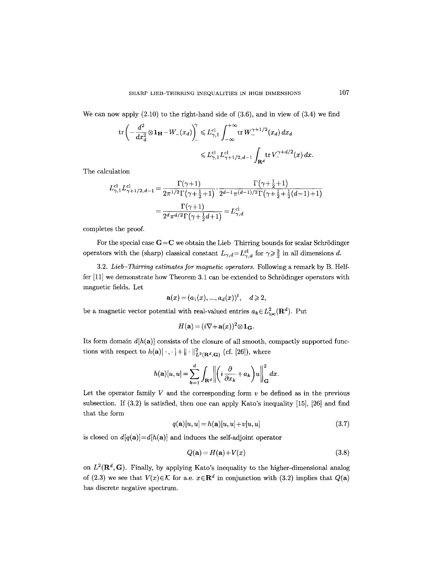We can now apply  $(2.10)$  to the right-hand side of  $(3.6)$ , and in view of  $(3.4)$  we find

$$
\begin{split} \operatorname{tr}& \left( -\frac{d^2}{dx_d^2} \otimes \mathbf{1_H} - W_-(x_d) \right)^{\gamma} \leq L_{\gamma,1}^{\mathrm{cl}} \int_{-\infty}^{+\infty} \operatorname{tr} W_-^{\gamma+1/2}(x_d) \, dx_d \\ & \leq L_{\gamma,1}^{\mathrm{cl}} L_{\gamma+1/2,d-1}^{\mathrm{cl}} \int_{\mathbf{R}^d} \operatorname{tr} V_-^{\gamma+d/2}(x) \, dx. \end{split}
$$

The calculation

$$
L^{\text{cl}}_{\gamma,1} L^{\text{cl}}_{\gamma+1/2,d-1} = \frac{\Gamma(\gamma+1)}{2\pi^{1/2}\Gamma(\gamma+\frac{1}{2}+1)} \cdot \frac{\Gamma(\gamma+\frac{1}{2}+1)}{2^{d-1}\pi^{(d-1)/2}\Gamma(\gamma+\frac{1}{2}+\frac{1}{2}(d-1)+1)} \\ = \frac{\Gamma(\gamma+1)}{2^d \pi^{d/2}\Gamma(\gamma+\frac{1}{2}d+1)} = L^{\text{cl}}_{\gamma,d}
$$

completes the proof.

For the special case  $G=C$  we obtain the Lieb-Thirring bounds for scalar Schrödinger operators with the (sharp) classical constant  $L_{\gamma,d} = L_{\gamma,d}^{\text{cl}}$  for  $\gamma \geq \frac{3}{2}$  in all dimensions d.

3.2. *Lieb-Thirring estimates for magnetic operators.* Following a remark by B. Helffer  $[11]$  we demonstrate how Theorem 3.1 can be extended to Schrödinger operators with magnetic fields. Let

$$
\mathbf{a}(x) = (a_1(x), ..., a_d(x))^t, \quad d \geq 2,
$$

be a magnetic vector potential with real-valued entries  $a_k \in L^2_{loc}(\mathbf{R}^d)$ . Put

$$
H(\mathbf{a}) = (i\nabla + \mathbf{a}(x))^2 \otimes \mathbf{1}_{\mathbf{G}}.
$$

Its form domain  $d[h(a)]$  consists of the closure of all smooth, compactly supported functions with respect to  $h(\mathbf{a})[\,\cdot\,,\cdot\,]+ \|\cdot\|^2_{L^2(\mathbf{R}^d,\mathbf{G})}$  (cf. [26]), where

$$
h(\mathbf{a})[u, u] = \sum_{k=1}^d \int_{\mathbf{R}^d} \left\| \left( i \frac{\partial}{\partial x_k} + a_k \right) u \right\|_{\mathbf{G}}^2 dx.
$$

Let the operator family  $V$  and the corresponding form  $v$  be defined as in the previous subsection. If (3.2) is satisfied, then one can apply Kato's inequality [15], [26] and find that the form

$$
q(\mathbf{a})[u, u] = h(\mathbf{a})[u, u] + v[u, u] \tag{3.7}
$$

is closed on  $d[q(a)] = d[h(a)]$  and induces the self-adjoint operator

$$
Q(\mathbf{a}) = H(\mathbf{a}) + V(x) \tag{3.8}
$$

on  $L^2(\mathbf{R}^d, \mathbf{G})$ . Finally, by applying Kato's inequality to the higher-dimensional analog of (2.3) we see that  $V(x) \in \mathcal{K}$  for a.e.  $x \in \mathbb{R}^d$  in conjunction with (3.2) implies that  $Q(\mathbf{a})$ has discrete negative spectrum.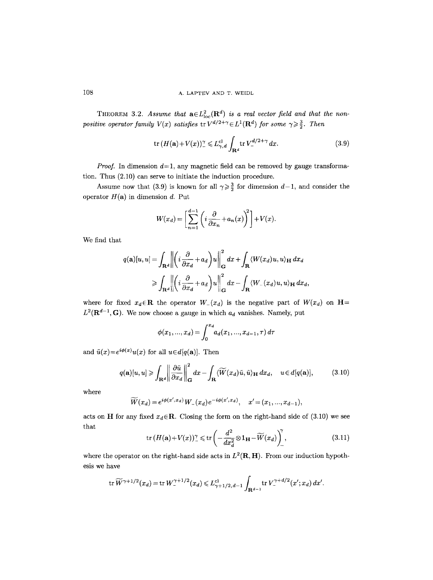THEOREM 3.2. Assume that  $a \in L^2_{loc}(\mathbf{R}^d)$  is a real vector field and that the non*positive operator family*  $V(x)$  *satisfies*  $tr V^{d/2+\gamma} \in L^1(\mathbf{R}^d)$  *for some*  $\gamma \geq \frac{3}{2}$ *. Then* 

$$
\operatorname{tr}\left(H(\mathbf{a})+V(x)\right)^{\gamma} \leqslant L_{\gamma,d}^{\mathrm{cl}} \int_{\mathbf{R}^d} \operatorname{tr} V_{-}^{d/2+\gamma} dx. \tag{3.9}
$$

*Proof.* In dimension  $d=1$ , any magnetic field can be removed by gauge transformation. Thus (2.10) can serve to initiate the induction procedure.

Assume now that (3.9) is known for all  $\gamma \geq \frac{3}{2}$  for dimension  $d-1$ , and consider the operator  $H(\mathbf{a})$  in dimension d. Put

$$
W(x_d) = \left[\sum_{n=1}^{d-1} \left(i \frac{\partial}{\partial x_n} + a_n(x)\right)^2\right] + V(x).
$$

We find that

$$
q(\mathbf{a})[u, u] = \int_{\mathbf{R}^d} \left\| \left( i \frac{\partial}{\partial x_d} + a_d \right) u \right\|_{\mathbf{G}}^2 dx + \int_{\mathbf{R}} \langle W(x_d)u, u \rangle_{\mathbf{H}} dx_d
$$
  
\n
$$
\geqslant \int_{\mathbf{R}^d} \left\| \left( i \frac{\partial}{\partial x_d} + a_d \right) u \right\|_{\mathbf{G}}^2 dx - \int_{\mathbf{R}} \langle W_-(x_d)u, u \rangle_{\mathbf{H}} dx_d,
$$

where for fixed  $x_d \in \mathbb{R}$  the operator  $W_-(x_d)$  is the negative part of  $W(x_d)$  on  $\mathbb{H}$ =  $L^2(\mathbf{R}^{d-1}, \mathbf{G})$ . We now choose a gauge in which  $a_d$  vanishes. Namely, put

$$
\phi(x_1, ..., x_d) = \int_0^{x_d} a_d(x_1, ..., x_{d-1}, \tau) d\tau
$$

and  $\tilde{u}(x)=e^{i\phi(x)}u(x)$  for all  $u \in d[q(a)]$ . Then

$$
q(\mathbf{a})[u,u] \geqslant \int_{\mathbf{R}^d} \left\| \frac{\partial \tilde{u}}{\partial x_d} \right\|_{\mathbf{G}}^2 dx - \int_{\mathbf{R}} \langle \widetilde{W}(x_d) \tilde{u}, \tilde{u} \rangle_{\mathbf{H}} dx_d, \quad u \in d[q(\mathbf{a})], \tag{3.10}
$$

where

$$
\widetilde{W}(x_d) = e^{i\phi(x',x_d)} W_-(x_d) e^{-i\phi(x',x_d)}, \quad x' = (x_1,...,x_{d-1}),
$$

acts on H for any fixed  $x_d \in \mathbb{R}$ . Closing the form on the right-hand side of (3.10) we see that

$$
\operatorname{tr}\left(H(\mathbf{a})+V(x)\right)^{\gamma} \leq \operatorname{tr}\left(-\frac{d^2}{dx_d^2}\otimes \mathbf{1_H} - \widetilde{W}(x_d)\right)^{\gamma},\tag{3.11}
$$

where the operator on the right-hand side acts in  $L^2(\mathbf{R}, \mathbf{H})$ . From our induction hypothesis we have

$$
\operatorname{tr} \widetilde{W}^{\gamma+1/2}(x_d)=\operatorname{tr} W^{\gamma+1/2}_-(x_d)\leqslant L^{\mathrm{cl}}_{\gamma+1/2,\,d-1}\int_{\mathbf{R}^{d-1}}\operatorname{tr} V^{\gamma+d/2}_-(x';x_d)\,dx'.
$$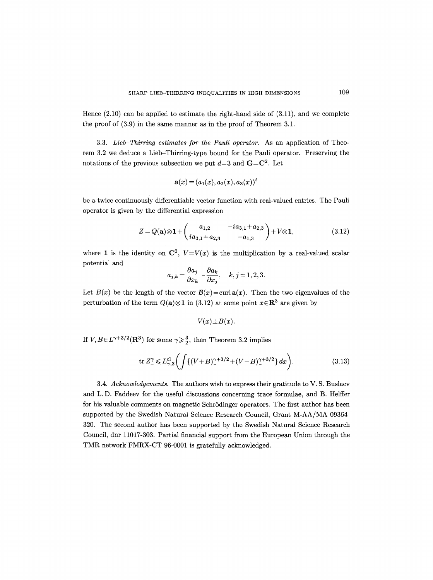Hence  $(2.10)$  can be applied to estimate the right-hand side of  $(3.11)$ , and we complete the proof of (3.9) in the same manner as in the proof of Theorem 3.1.

3.3. *Lieb-Thirring estimates for the Pauli operator.* As an application of Theorem 3.2 we deduce a Lieb-Thirring-type bound for the Pauli operator. Preserving the notations of the previous subsection we put  $d=3$  and  $\mathbf{G}=\mathbf{C}^2$ . Let

$$
\mathbf{a}(x) = (a_1(x), a_2(x), a_3(x))^t
$$

be a twice continuously differentiable vector function with real-valued entries. The Pauli operator is given by the differential expression

$$
Z = Q(\mathbf{a}) \otimes \mathbf{1} + \begin{pmatrix} a_{1,2} & -ia_{3,1} + a_{2,3} \\ ia_{3,1} + a_{2,3} & -a_{1,3} \end{pmatrix} + V \otimes \mathbf{1},\tag{3.12}
$$

where 1 is the identity on  $\mathbb{C}^2$ ,  $V=V(x)$  is the multiplication by a real-valued scalar potential and

$$
a_{j,k} = \frac{\partial a_j}{\partial x_k} - \frac{\partial a_k}{\partial x_j}, \quad k, j = 1, 2, 3.
$$

Let  $B(x)$  be the length of the vector  $B(x) = \text{curl } \mathbf{a}(x)$ . Then the two eigenvalues of the perturbation of the term  $Q(\mathbf{a})\otimes \mathbf{1}$  in (3.12) at some point  $x\in\mathbf{R}^3$  are given by

$$
V(x)\!\pm\!B(x).
$$

If  $V, B \in L^{\gamma+3/2}(\mathbf{R}^3)$  for some  $\gamma \geq \frac{3}{2}$ , then Theorem 3.2 implies

$$
\text{tr}\, Z_{-}^{\gamma} \leqslant L_{\gamma,3}^{\text{cl}} \bigg( \int \{ (V+B)_{-}^{\gamma+3/2} + (V-B)_{-}^{\gamma+3/2} \} \, dx \bigg). \tag{3.13}
$$

3.4. *Acknowledgements.* The authors wish to express their gratitude to V. S. Buslaev and L.D. Faddeev for the useful discussions concerning trace formulae, and B. Helffer for his valuable comments on magnetic Schrödinger operators. The first author has been supported by the Swedish Natural Science Research Council, Grant M-AA/MA 09364- 320. The second author has been supported by the Swedish Natural Science Research Council, dnr 11017-303. Partial financial support from the European Union through the TMR network FMRX-CT 96-0001 is gratefully acknowledged.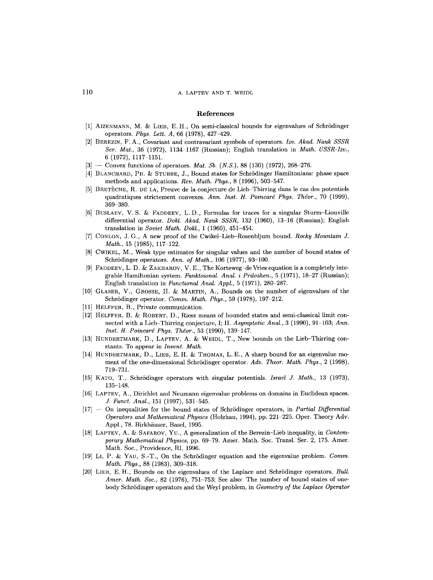#### 110 A. LAPTEV AND T. WEIDL

#### **References**

- [1] AIZENMANN, M. & LIEB, E.H., On semi-classical bounds for eigenvalues of Schrödinger operators. *Phys. Lett. A,* 66 (1978), 427-429.
- [2] BEREZIN, F. A., Covariant and contravariant symbols of operators. *Izv. Akad. Nauk SSSR Set. Mat.,* 36 (1972), 1134 1167 (Russian); English translation in *Math. USSR-Izv.,*  6 (1972), 1117-1151.
- [3] -- Convex functions of operators. *Mat. Sb.* (*N.S.*), 88 (130) (1972), 268-276.
- [4] BLANCHARD, PH. & STUBBE, J., Bound states for Schrödinger Hamiltonians: phase space methods and applications. *Rev. Math. Phys.,* 8 (1996), 503-547.
- [5] BRETECHE, R. DE LA, Preuve de la conjecture de Lieb-Thirring dans le cas des potentiels quadratiques strictement convexes. *Ann. Inst. H. Poincard Phys. Thdor.,* 70 (1999), 369-380.
- [6] BUSLAEV, V.S. & FADDEEV, L.D., Formulas for traces for a singular Sturm-Liouville differential operator. *Dokl. Akad. Nauk SSSR,* 132 (1960), 13-16 (Russian); English translation in *Soviet Math. Dokl.,* 1 (1960), 451-454.
- [7] CONLON, J.G., A new proof of the Cwikel-Lieb-Rosenbljum bound. *Rocky Mountain J. Math.,* 15 (1985), 117-122.
- [8] CWIKEL, M., Weak type estimates for singular values and the number of bound states of Schrödinger operators. Ann. of Math., 106 (1977), 93-100.
- [9] FADDEEV, L. D. & ZAKHAROV, V. E., The Korteweg-de Vries equation is a completely integrable Hamiltonian system. *Funktsional. Anal. i Prilozhen.,* 5 (1971), 18-27 (Russian); English translation in *Functional Anal. Appl.*, 5 (1971), 280-287.
- $[10]$  GLASER, V., GROSSE, H. & MARTIN, A., Bounds on the number of eigenvalues of the Schrödinger operator. *Comm. Math. Phys.*, 59 (1978), 197-212.
- [11] HELFFER, B., Private communication.
- [12] HELFFER, B. & ROBERT, D., Riesz means of bounded states and semi-classical limit connected with a Lieb-Thirring conjecture, I; II. *Asymptotic Anal.*, 3 (1990), 91–103; *Ann. Inst. H. Poincaré Phys. Théor.*, 53 (1990), 139-147.
- $[13]$  HUNDERTMARK, D., LAPTEV, A. & WEIDL, T., New bounds on the Lieb-Thirring constants. To appear in *Invent. Math.*
- $[14]$  HUNDERTMARK, D., LIEB, E. H. & THOMAS, L. E., A sharp bound for an eigenvalue moment of the one-dimensional Schrödinger operator. Adv. Theor. Math. Phys., 2 (1998), 719-731.
- [15] KATO, T., SchrSdinger operators with singular potentials. *Israel J. Math.,* 13 (1973), 135-148.
- [16] LAPTEV, A., Dirichlet and Neumann eigenvalue problems on domains in Euclidean spaces. *J. Funct. Anal.*, 151 (1997), 531-545.
- [17] -- On inequalities for the bound states of Schr5dinger operators, in *Partial Differential Operators and Mathematical Physics* (Holzhau, 1994), pp. 221-225. Oper. Theory Adv. Appl., 78. Birkhäuser, Basel, 1995.
- [18] LAPTEV, A. & SAFAROV, YU., A generalization of the Berezin–Lieb inequality, in *Contemporary Mathematical Physics,* pp. 69-79. Amer. Math. Soc. Transl. Ser. 2, 175. Amer. Math. Soc., Providence, RI, 1996.
- [19] LI, P. 8z YAU, S.-T., On the Schr5dinger equation and the eigenvalue problem. *Comm. Math. Phys.,* 88 (1983), 309-318.
- [20] LIEB, E.H., Bounds on the eigenvalues of the Laplace and Schrödinger operators. *Bull. Amer. Math. Soc.,* 82 (1976), 751-753; See also: The number of bound states of onebody Schrödinger operators and the Weyl problem, in *Geometry of the Laplace Operator*